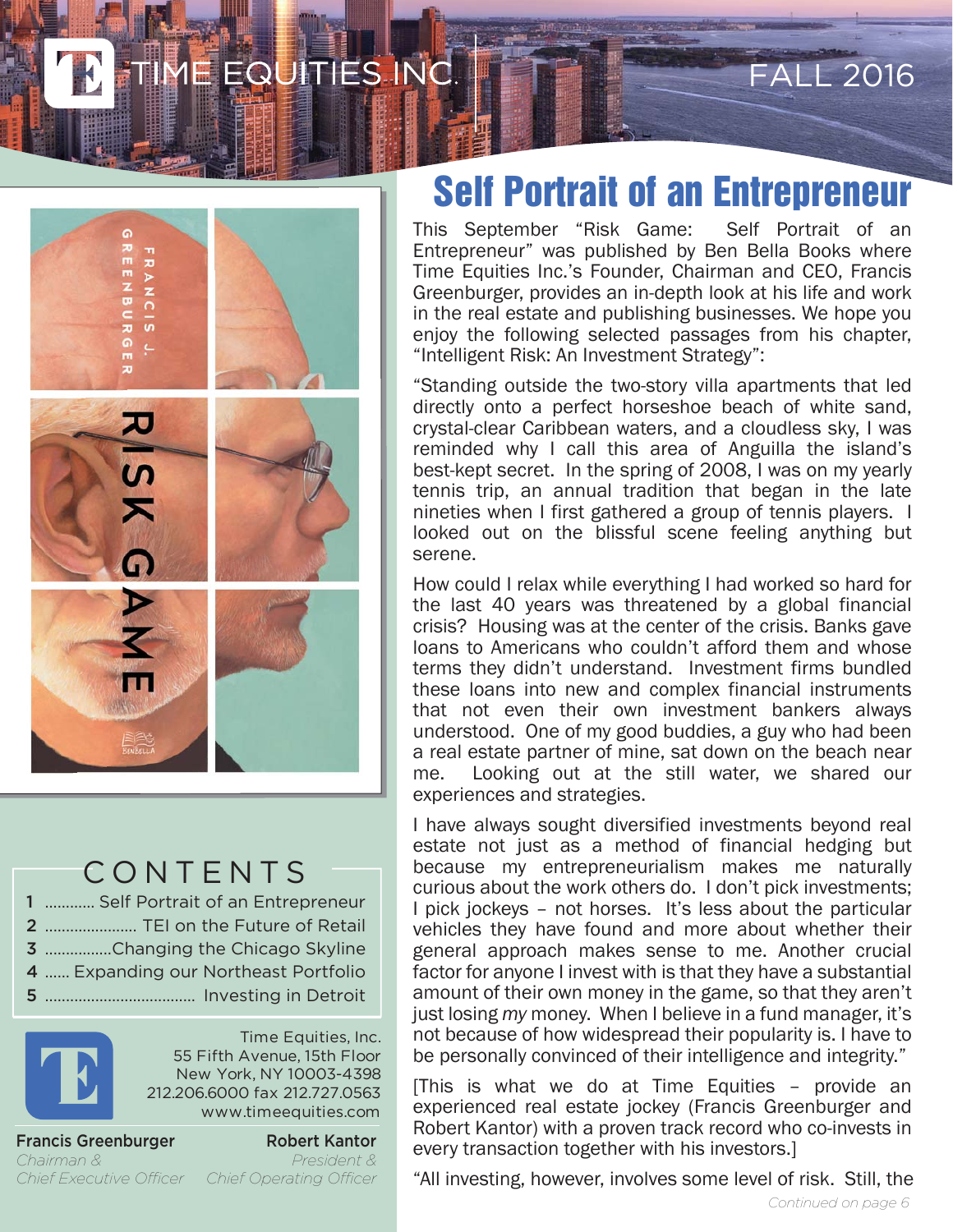### EQUITIES INC.



#### CONTENTS

............ Self Portrait of an Entrepreneur ...................... TEI on the Future of Retail ................Changing the Chicago Skyline ...... Expanding our Northeast Portfolio .................................... Investing in Detroit



Time Equities, Inc. 55 Fifth Avenue, 15th Floor New York, NY 10003-4398 212.206.6000 fax 212.727.0563 www.timeequities.com

Francis Greenburger *Chairman & Chief Executive Officer Chief Operating Officer*

Robert Kantor *President &*

#### **Self Portrait of an Entrepreneur**

FALL 2016

This September "Risk Game: Self Portrait of an Entrepreneur" was published by Ben Bella Books where Time Equities Inc.'s Founder, Chairman and CEO, Francis Greenburger, provides an in-depth look at his life and work in the real estate and publishing businesses. We hope you enjoy the following selected passages from his chapter, "Intelligent Risk: An Investment Strategy":

"Standing outside the two-story villa apartments that led directly onto a perfect horseshoe beach of white sand, crystal-clear Caribbean waters, and a cloudless sky, I was reminded why I call this area of Anguilla the island's best-kept secret. In the spring of 2008, I was on my yearly tennis trip, an annual tradition that began in the late nineties when I first gathered a group of tennis players. I looked out on the blissful scene feeling anything but serene.

How could I relax while everything I had worked so hard for the last 40 years was threatened by a global financial crisis? Housing was at the center of the crisis. Banks gave loans to Americans who couldn't afford them and whose terms they didn't understand. Investment firms bundled these loans into new and complex financial instruments that not even their own investment bankers always understood. One of my good buddies, a guy who had been a real estate partner of mine, sat down on the beach near me. Looking out at the still water, we shared our experiences and strategies.

I have always sought diversified investments beyond real estate not just as a method of financial hedging but because my entrepreneurialism makes me naturally curious about the work others do. I don't pick investments; I pick jockeys – not horses. It's less about the particular vehicles they have found and more about whether their general approach makes sense to me. Another crucial factor for anyone I invest with is that they have a substantial amount of their own money in the game, so that they aren't just losing *my* money. When I believe in a fund manager, it's not because of how widespread their popularity is. I have to be personally convinced of their intelligence and integrity."

[This is what we do at Time Equities – provide an experienced real estate jockey (Francis Greenburger and Robert Kantor) with a proven track record who co-invests in every transaction together with his investors.]

"All investing, however, involves some level of risk. Still, the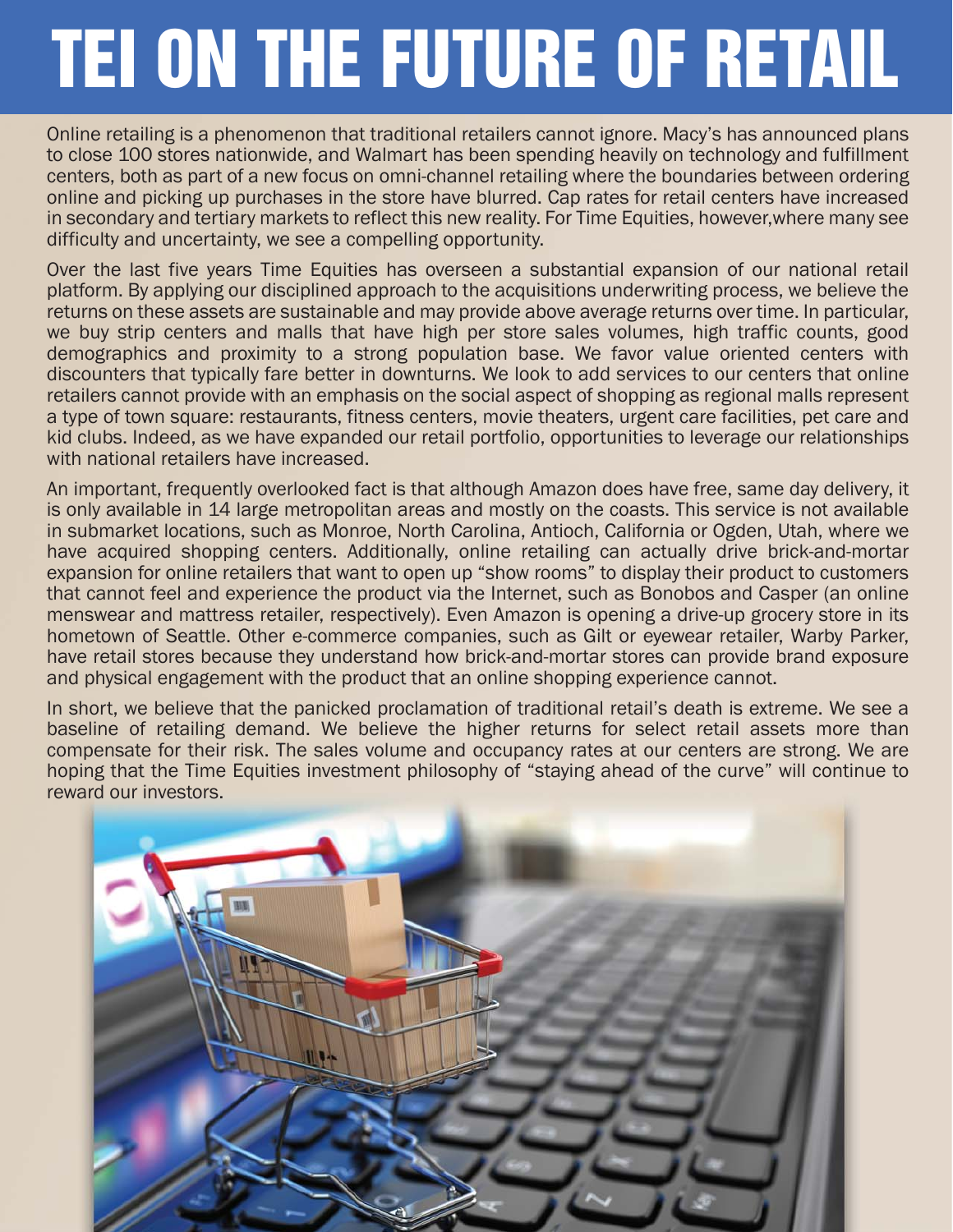# **TEI ON THE FUTURE OF RETAIL**

Online retailing is a phenomenon that traditional retailers cannot ignore. Macy's has announced plans to close 100 stores nationwide, and Walmart has been spending heavily on technology and fulfillment centers, both as part of a new focus on omni-channel retailing where the boundaries between ordering online and picking up purchases in the store have blurred. Cap rates for retail centers have increased in secondary and tertiary markets to reflect this new reality. For Time Equities, however,where many see difficulty and uncertainty, we see a compelling opportunity.

Over the last five years Time Equities has overseen a substantial expansion of our national retail platform. By applying our disciplined approach to the acquisitions underwriting process, we believe the returns on these assets are sustainable and may provide above average returns over time. In particular, we buy strip centers and malls that have high per store sales volumes, high traffic counts, good demographics and proximity to a strong population base. We favor value oriented centers with discounters that typically fare better in downturns. We look to add services to our centers that online retailers cannot provide with an emphasis on the social aspect of shopping as regional malls represent a type of town square: restaurants, fitness centers, movie theaters, urgent care facilities, pet care and kid clubs. Indeed, as we have expanded our retail portfolio, opportunities to leverage our relationships with national retailers have increased.

An important, frequently overlooked fact is that although Amazon does have free, same day delivery, it is only available in 14 large metropolitan areas and mostly on the coasts. This service is not available in submarket locations, such as Monroe, North Carolina, Antioch, California or Ogden, Utah, where we have acquired shopping centers. Additionally, online retailing can actually drive brick-and-mortar expansion for online retailers that want to open up "show rooms" to display their product to customers that cannot feel and experience the product via the Internet, such as Bonobos and Casper (an online menswear and mattress retailer, respectively). Even Amazon is opening a drive-up grocery store in its hometown of Seattle. Other e-commerce companies, such as Gilt or eyewear retailer, Warby Parker, have retail stores because they understand how brick-and-mortar stores can provide brand exposure and physical engagement with the product that an online shopping experience cannot.

In short, we believe that the panicked proclamation of traditional retail's death is extreme. We see a baseline of retailing demand. We believe the higher returns for select retail assets more than compensate for their risk. The sales volume and occupancy rates at our centers are strong. We are hoping that the Time Equities investment philosophy of "staying ahead of the curve" will continue to reward our investors.

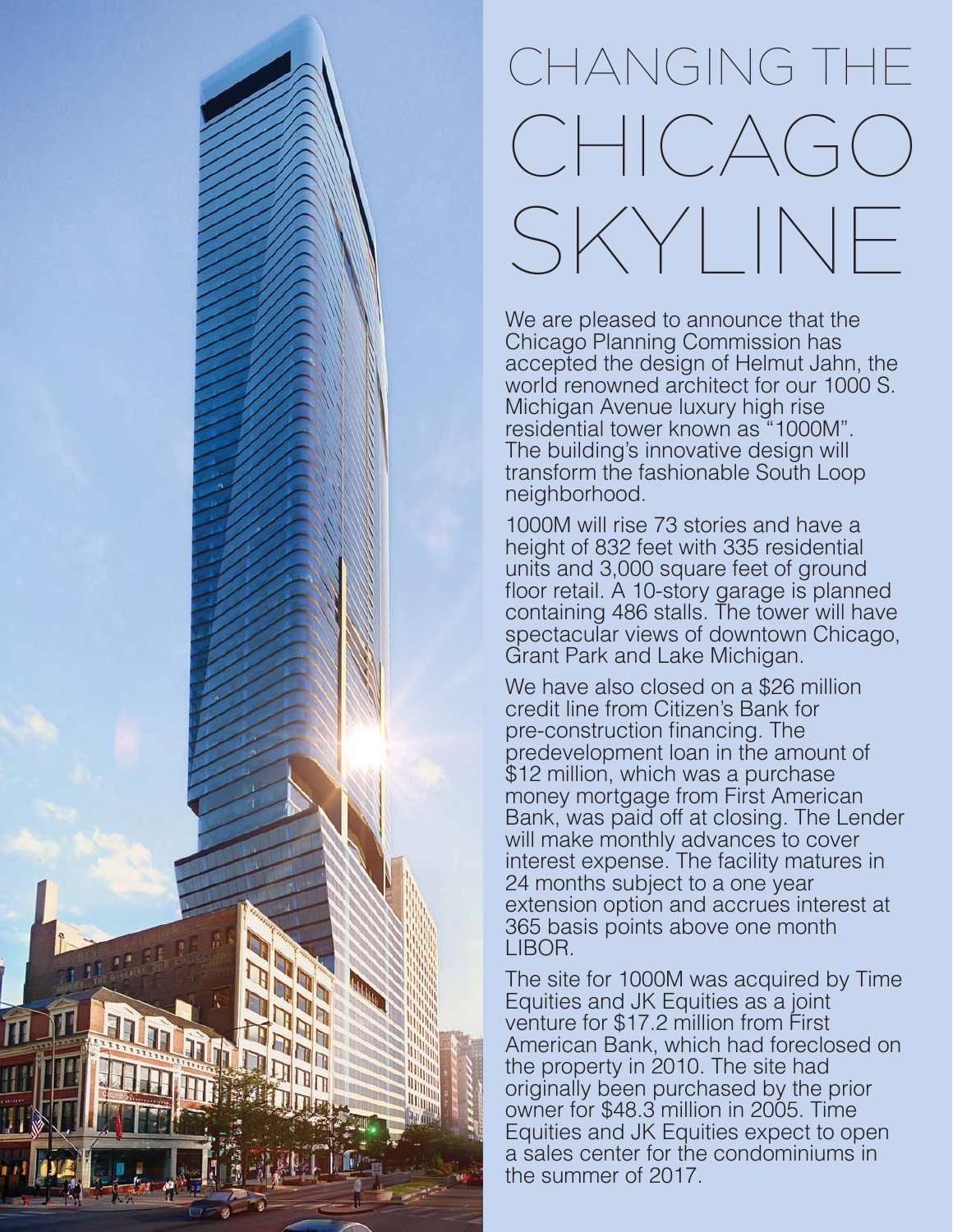## CHANGING THE CHICAGO SKYLINE

We are pleased to announce that the Chicago Planning Commission has accepted the design of Helmut Jahn, the world renowned architect for our 1000 S. Michigan Avenue luxury high rise residential tower known as "1000M". The building's innovative design will transform the fashionable South Loop neighborhood.

1000M will rise 73 stories and have a height of 832 feet with 335 residential units and 3,000 square feet of ground floor retail. A 10-story garage is planned containing 486 stalls. The tower will have spectacular views of downtown Chicago, Grant Park and Lake Michigan.

We have also closed on a \$26 million credit line from Citizen's Bank for pre-construction financing. The predevelopment loan in the amount of \$12 million, which was a purchase money mortgage from First American Bank, was paid off at closing. The Lender will make monthly advances to cover interest expense. The facility matures in 24 months subject to a one year extension option and accrues interest at 365 basis points above one month LIBOR.

The site for 1000M was acquired by Time Equities and JK Equities as a joint venture for \$17.2 million from First American Bank, which had foreclosed on the property in 2010. The site had originally been purchased by the prior owner for \$48.3 million in 2005. Time Equities and JK Equities expect to open a sales center for the condominiums in the summer of 2017.

D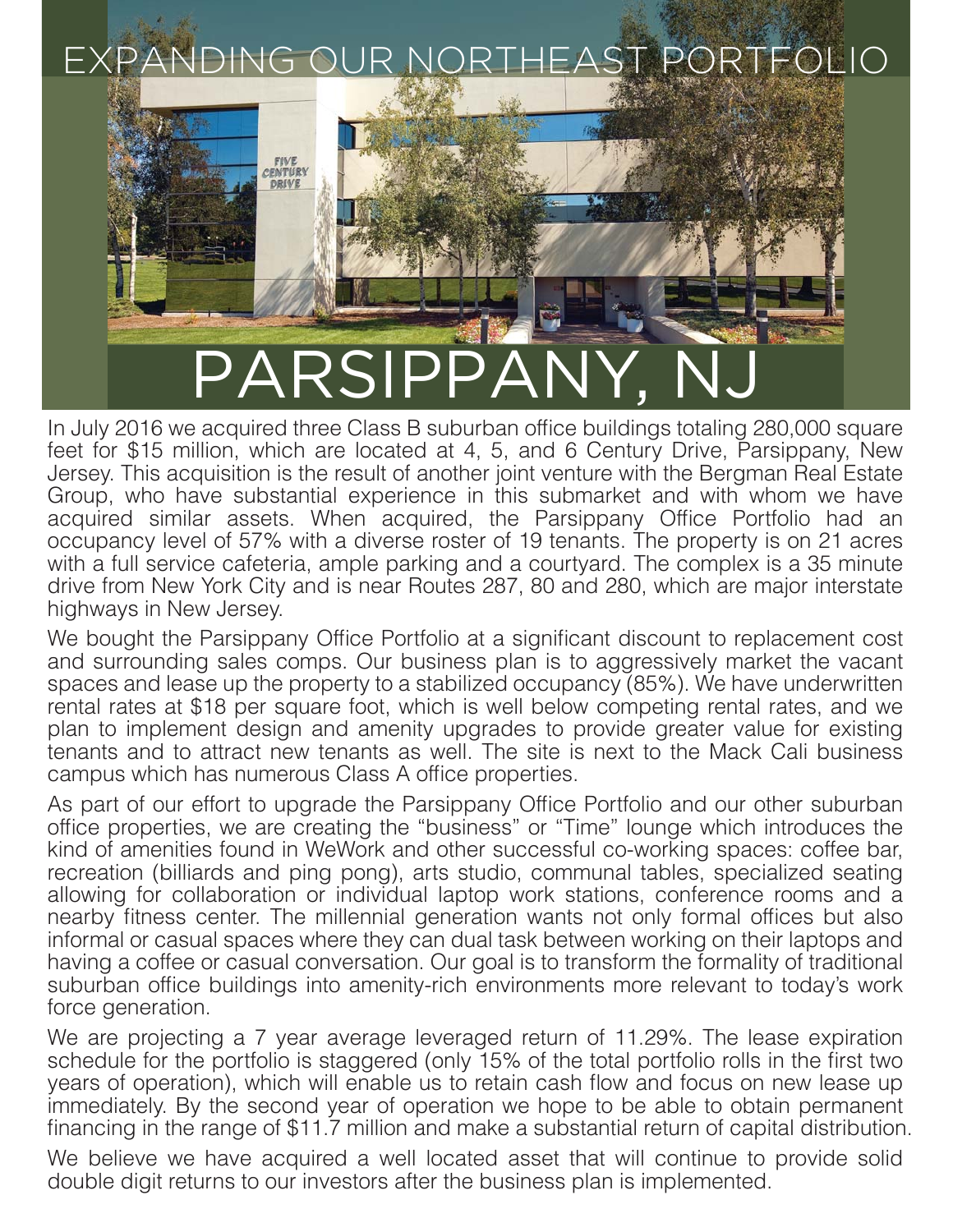

In July 2016 we acquired three Class B suburban office buildings totaling 280,000 square feet for \$15 million, which are located at 4, 5, and 6 Century Drive, Parsippany, New Jersey. This acquisition is the result of another joint venture with the Bergman Real Estate Group, who have substantial experience in this submarket and with whom we have acquired similar assets. When acquired, the Parsippany Office Portfolio had an occupancy level of 57% with a diverse roster of 19 tenants. The property is on 21 acres with a full service cafeteria, ample parking and a courtyard. The complex is a 35 minute drive from New York City and is near Routes 287, 80 and 280, which are major interstate highways in New Jersey.

We bought the Parsippany Office Portfolio at a significant discount to replacement cost and surrounding sales comps. Our business plan is to aggressively market the vacant spaces and lease up the property to a stabilized occupancy (85%). We have underwritten rental rates at \$18 per square foot, which is well below competing rental rates, and we plan to implement design and amenity upgrades to provide greater value for existing tenants and to attract new tenants as well. The site is next to the Mack Cali business campus which has numerous Class A office properties.

As part of our effort to upgrade the Parsippany Office Portfolio and our other suburban office properties, we are creating the "business" or "Time" lounge which introduces the kind of amenities found in WeWork and other successful co-working spaces: coffee bar, recreation (billiards and ping pong), arts studio, communal tables, specialized seating allowing for collaboration or individual laptop work stations, conference rooms and a nearby fitness center. The millennial generation wants not only formal offices but also informal or casual spaces where they can dual task between working on their laptops and having a coffee or casual conversation. Our goal is to transform the formality of traditional suburban office buildings into amenity-rich environments more relevant to today's work force generation.

We are projecting a 7 year average leveraged return of 11.29%. The lease expiration schedule for the portfolio is staggered (only 15% of the total portfolio rolls in the first two years of operation), which will enable us to retain cash flow and focus on new lease up immediately. By the second year of operation we hope to be able to obtain permanent financing in the range of \$11.7 million and make a substantial return of capital distribution.

We believe we have acquired a well located asset that will continue to provide solid double digit returns to our investors after the business plan is implemented.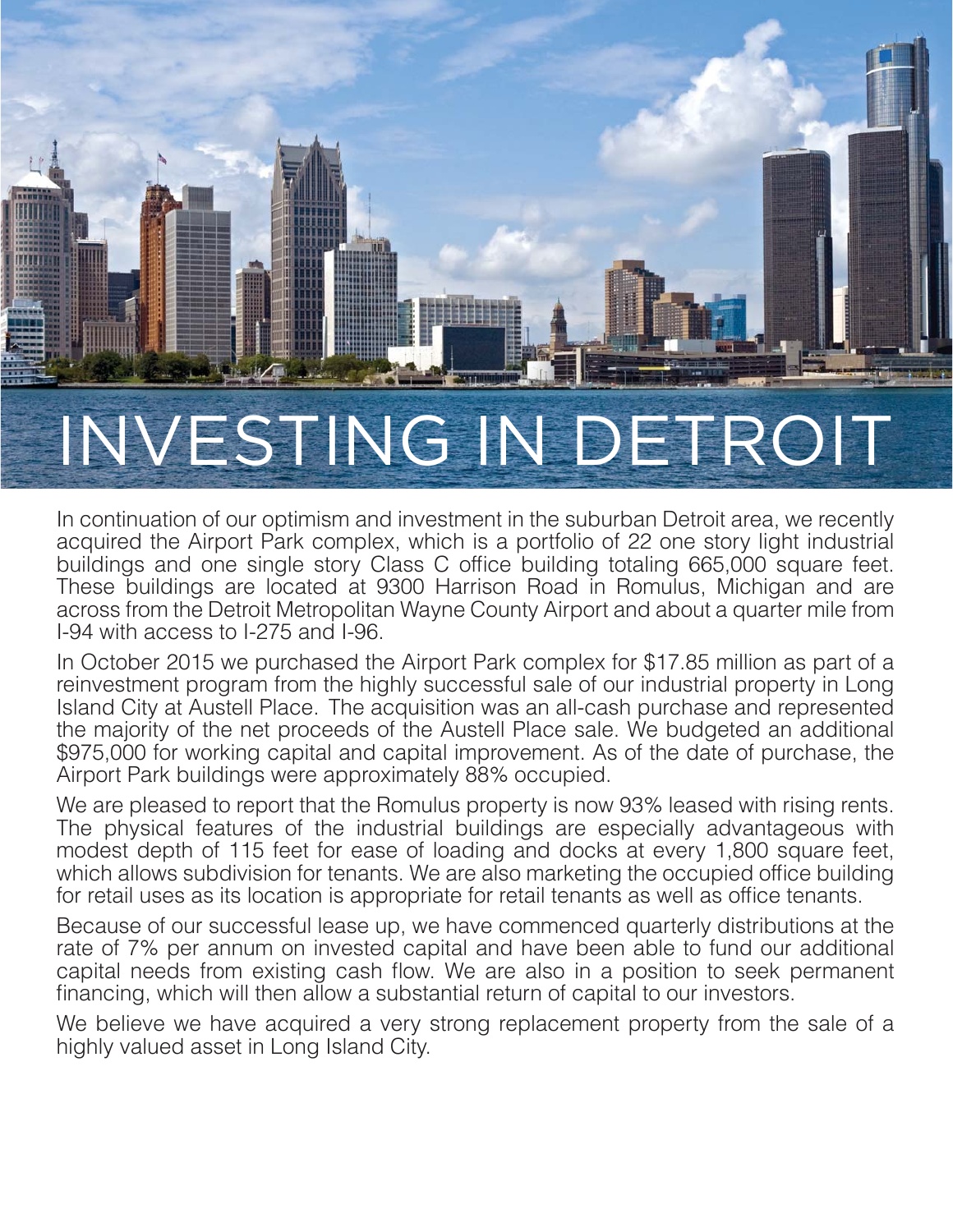

### INVESTING IN DETROIT

In continuation of our optimism and investment in the suburban Detroit area, we recently acquired the Airport Park complex, which is a portfolio of 22 one story light industrial buildings and one single story Class C office building totaling 665,000 square feet. These buildings are located at 9300 Harrison Road in Romulus, Michigan and are across from the Detroit Metropolitan Wayne County Airport and about a quarter mile from I-94 with access to I-275 and I-96.

In October 2015 we purchased the Airport Park complex for \$17.85 million as part of a reinvestment program from the highly successful sale of our industrial property in Long Island City at Austell Place. The acquisition was an all-cash purchase and represented the majority of the net proceeds of the Austell Place sale. We budgeted an additional \$975,000 for working capital and capital improvement. As of the date of purchase, the Airport Park buildings were approximately 88% occupied.

We are pleased to report that the Romulus property is now 93% leased with rising rents. The physical features of the industrial buildings are especially advantageous with modest depth of 115 feet for ease of loading and docks at every 1,800 square feet, which allows subdivision for tenants. We are also marketing the occupied office building for retail uses as its location is appropriate for retail tenants as well as office tenants.

Because of our successful lease up, we have commenced quarterly distributions at the rate of 7% per annum on invested capital and have been able to fund our additional capital needs from existing cash flow. We are also in a position to seek permanent financing, which will then allow a substantial return of capital to our investors.

We believe we have acquired a very strong replacement property from the sale of a highly valued asset in Long Island City.